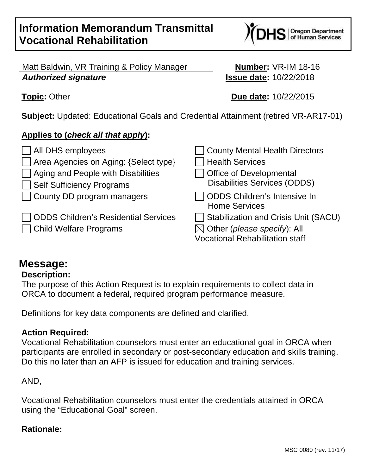Matt Baldwin, VR Training & Policy Manager **Number:** VR-IM 18-16 **Authorized signature Issue date:** 10/22/2018

**Subject:** Updated: Educational Goals and Credential Attainment (retired VR-AR17-01)

# **Applies to (check all that apply):**

All DHS employees County Mental Health Directors Area Agencies on Aging: {Select type} Health Services  $\vert$  Aging and People with Disabilities  $\vert$   $\vert$  Office of Developmental Self Sufficiency Programs Disabilities Services (ODDS)  $\Box$  County DD program managers  $\Box$  ODDS Children's Intensive In Home Services **ODDS Children's Residential Services**  $\Box$  Stabilization and Crisis Unit (SACU) Child Welfare Programs  $\boxtimes$  Other (please specify): All Vocational Rehabilitation staff

# **Message:**

# **Description:**

The purpose of this Action Request is to explain requirements to collect data in ORCA to document a federal, required program performance measure.

Definitions for key data components are defined and clarified.

# **Action Required:**

Vocational Rehabilitation counselors must enter an educational goal in ORCA when participants are enrolled in secondary or post-secondary education and skills training. Do this no later than an AFP is issued for education and training services.

# AND,

Vocational Rehabilitation counselors must enter the credentials attained in ORCA using the "Educational Goal" screen.

# **Rationale:**



**Topic:** Other **Due date:** 10/22/2015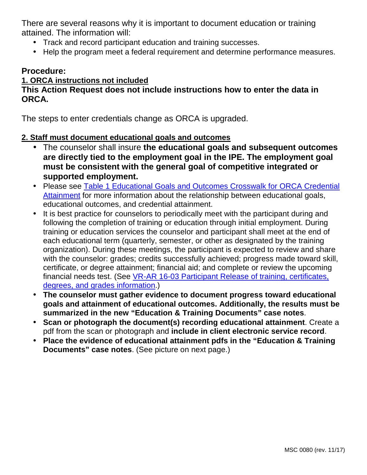There are several reasons why it is important to document education or training attained. The information will:

- Track and record participant education and training successes.
- Help the program meet a federal requirement and determine performance measures.

## **Procedure:**

#### **1. ORCA instructions not included**

#### **This Action Request does not include instructions how to enter the data in ORCA.**

The steps to enter credentials change as ORCA is upgraded.

#### **2. Staff must document educational goals and outcomes**

- The counselor shall insure **the educational goals and subsequent outcomes are directly tied to the employment goal in the IPE. The employment goal must be consistent with the general goal of competitive integrated or supported employment.**
- Please see Table 1 Educational Goals and Outcomes Crosswalk for ORCA Credential Attainment for more information about the relationship between educational goals, educational outcomes, and credential attainment.
- It is best practice for counselors to periodically meet with the participant during and following the completion of training or education through initial employment. During training or education services the counselor and participant shall meet at the end of each educational term (quarterly, semester, or other as designated by the training organization). During these meetings, the participant is expected to review and share with the counselor: grades; credits successfully achieved; progress made toward skill, certificate, or degree attainment; financial aid; and complete or review the upcoming financial needs test. (See VR-AR 16-03 Participant Release of training, certificates, degrees, and grades information.)
- **The counselor must gather evidence to document progress toward educational goals and attainment of educational outcomes. Additionally, the results must be summarized in the new "Education & Training Documents" case notes**.
- **Scan or photograph the document(s) recording educational attainment**. Create a pdf from the scan or photograph and **include in client electronic service record**.
- **Place the evidence of educational attainment pdfs in the "Education & Training Documents" case notes**. (See picture on next page.)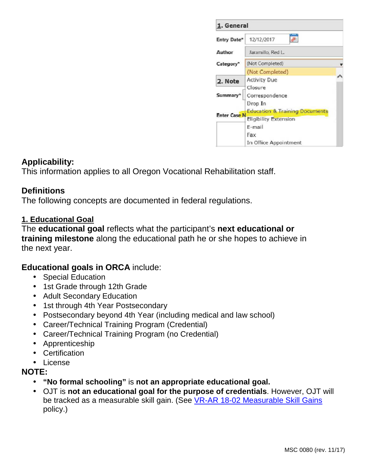| 1. General            |                                           |  |  |  |  |
|-----------------------|-------------------------------------------|--|--|--|--|
| Entry Date*           | e<br>12/12/2017                           |  |  |  |  |
| Author                | Jaramillo, Red L.                         |  |  |  |  |
| Category <sup>*</sup> | (Not Completed)                           |  |  |  |  |
|                       | (Not Completed)                           |  |  |  |  |
| 2. Note               | <b>Activity Due</b>                       |  |  |  |  |
|                       | Closure                                   |  |  |  |  |
| Summary               | Correspondence                            |  |  |  |  |
|                       | Drop In                                   |  |  |  |  |
| <b>Enter Case N</b>   | <b>Education &amp; Training Documents</b> |  |  |  |  |
|                       | <b>Eligibility Extension</b>              |  |  |  |  |
|                       | E-mail                                    |  |  |  |  |
|                       | Fax                                       |  |  |  |  |
|                       | In Office Appointment                     |  |  |  |  |

# **Applicability:**

This information applies to all Oregon Vocational Rehabilitation staff.

#### **Definitions**

The following concepts are documented in federal regulations.

#### **1. Educational Goal**

The **educational goal** reflects what the participant's **next educational or training milestone** along the educational path he or she hopes to achieve in the next year.

#### **Educational goals in ORCA** include:

- Special Education
- 1st Grade through 12th Grade
- Adult Secondary Education
- 1st through 4th Year Postsecondary
- Postsecondary beyond 4th Year (including medical and law school)
- Career/Technical Training Program (Credential)
- Career/Technical Training Program (no Credential)
- Apprenticeship
- Certification
- License

#### **NOTE:**

- **"No formal schooling"** is **not an appropriate educational goal.**
- OJT is **not an educational goal for the purpose of credentials**. However, OJT will be tracked as a measurable skill gain. (See VR-AR 18-02 Measurable Skill Gains policy.)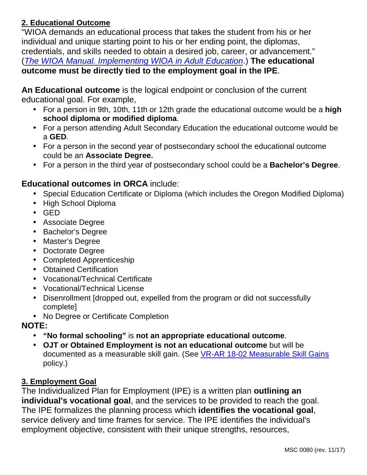#### **2. Educational Outcome**

"WIOA demands an educational process that takes the student from his or her individual and unique starting point to his or her ending point, the diplomas, credentials, and skills needed to obtain a desired job, career, or advancement." (The WIOA Manual. Implementing WIOA in Adult Education.) **The educational outcome must be directly tied to the employment goal in the IPE**.

**An Educational outcome** is the logical endpoint or conclusion of the current educational goal. For example,

- For a person in 9th, 10th, 11th or 12th grade the educational outcome would be a **high school diploma or modified diploma**.
- For a person attending Adult Secondary Education the educational outcome would be a **GED**.
- For a person in the second year of postsecondary school the educational outcome could be an **Associate Degree.**
- For a person in the third year of postsecondary school could be a **Bachelor's Degree**.

# **Educational outcomes in ORCA** include:

- Special Education Certificate or Diploma (which includes the Oregon Modified Diploma)
- High School Diploma
- GED
- Associate Degree
- Bachelor's Degree
- Master's Degree
- Doctorate Degree
- Completed Apprenticeship
- Obtained Certification
- Vocational/Technical Certificate
- Vocational/Technical License
- Disenrollment [dropped out, expelled from the program or did not successfully complete]
- No Degree or Certificate Completion

# **NOTE:**

- **"No formal schooling"** is **not an appropriate educational outcome**.
- **OJT or Obtained Employment is not an educational outcome** but will be documented as a measurable skill gain. (See VR-AR 18-02 Measurable Skill Gains policy.)

# **3. Employment Goal**

The Individualized Plan for Employment (IPE) is a written plan **outlining an individual's vocational goal**, and the services to be provided to reach the goal. The IPE formalizes the planning process which **identifies the vocational goal**, service delivery and time frames for service. The IPE identifies the individual's employment objective, consistent with their unique strengths, resources,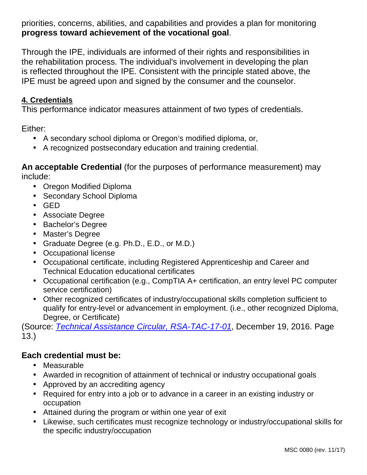priorities, concerns, abilities, and capabilities and provides a plan for monitoring **progress toward achievement of the vocational goal**.

Through the IPE, individuals are informed of their rights and responsibilities in the rehabilitation process. The individual's involvement in developing the plan is reflected throughout the IPE. Consistent with the principle stated above, the IPE must be agreed upon and signed by the consumer and the counselor.

# **4. Credentials**

This performance indicator measures attainment of two types of credentials.

Either:

- A secondary school diploma or Oregon's modified diploma, or,
- A recognized postsecondary education and training credential.

**An acceptable Credential** (for the purposes of performance measurement) may include:

- Oregon Modified Diploma
- Secondary School Diploma
- GED
- Associate Degree
- Bachelor's Degree
- Master's Degree
- Graduate Degree (e.g. Ph.D., E.D., or M.D.)
- Occupational license
- Occupational certificate, including Registered Apprenticeship and Career and Technical Education educational certificates
- Occupational certification (e.g., CompTIA A+ certification, an entry level PC computer service certification)
- Other recognized certificates of industry/occupational skills completion sufficient to qualify for entry-level or advancement in employment. (i.e., other recognized Diploma, Degree, or Certificate)

(Source: Technical Assistance Circular, RSA-TAC-17-01, December 19, 2016. Page 13.)

# **Each credential must be:**

- Measurable
- Awarded in recognition of attainment of technical or industry occupational goals
- Approved by an accrediting agency
- Required for entry into a job or to advance in a career in an existing industry or occupation
- Attained during the program or within one year of exit
- Likewise, such certificates must recognize technology or industry/occupational skills for the specific industry/occupation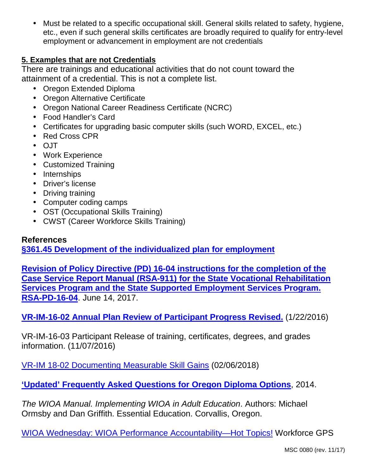• Must be related to a specific occupational skill. General skills related to safety, hygiene, etc., even if such general skills certificates are broadly required to qualify for entry-level employment or advancement in employment are not credentials

## **5. Examples that are not Credentials**

There are trainings and educational activities that do not count toward the attainment of a credential. This is not a complete list.

- Oregon Extended Diploma
- Oregon Alternative Certificate
- Oregon National Career Readiness Certificate (NCRC)
- Food Handler's Card
- Certificates for upgrading basic computer skills (such WORD, EXCEL, etc.)
- Red Cross CPR
- OJT
- Work Experience
- Customized Training
- Internships
- Driver's license
- Driving training
- Computer coding camps
- OST (Occupational Skills Training)
- CWST (Career Workforce Skills Training)

#### **References**

**§361.45 Development of the individualized plan for employment**

**Revision of Policy Directive (PD) 16-04 instructions for the completion of the Case Service Report Manual (RSA-911) for the State Vocational Rehabilitation Services Program and the State Supported Employment Services Program. RSA-PD-16-04**. June 14, 2017.

**VR-IM-16-02 Annual Plan Review of Participant Progress Revised.** (1/22/2016)

VR-IM-16-03 Participant Release of training, certificates, degrees, and grades information. (11/07/2016)

VR-IM 18-02 Documenting Measurable Skill Gains (02/06/2018)

**'Updated' Frequently Asked Questions for Oregon Diploma Options**, 2014.

The WIOA Manual. Implementing WIOA in Adult Education. Authors: Michael Ormsby and Dan Griffith. Essential Education. Corvallis, Oregon.

WIOA Wednesday: WIOA Performance Accountability—Hot Topics! Workforce GPS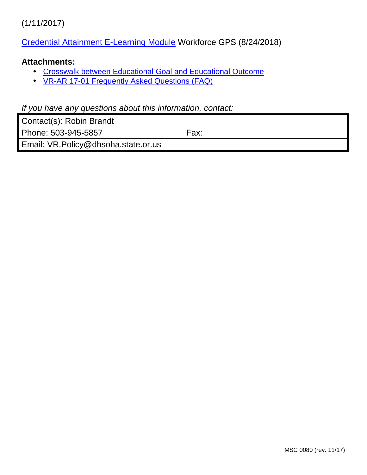(1/11/2017)

Credential Attainment E-Learning Module Workforce GPS (8/24/2018)

#### **Attachments:**

- Crosswalk between Educational Goal and Educational Outcome
- VR-AR 17-01 Frequently Asked Questions (FAQ)

#### If you have any questions about this information, contact:

| Contact(s): Robin Brandt |  |  |  |
|--------------------------|--|--|--|
|--------------------------|--|--|--|

Phone: 503-945-5857 Fax:

Email: VR.Policy@dhsoha.state.or.us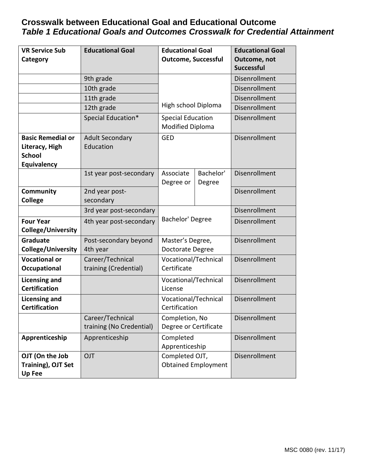# **Crosswalk between Educational Goal and Educational Outcome Table 1 Educational Goals and Outcomes Crosswalk for Credential Attainment**

| <b>VR Service Sub</b>                                  | <b>Educational Goal</b>                      | <b>Educational Goal</b>                             |                     | <b>Educational Goal</b> |
|--------------------------------------------------------|----------------------------------------------|-----------------------------------------------------|---------------------|-------------------------|
| Category                                               |                                              | <b>Outcome, Successful</b>                          |                     | Outcome, not            |
|                                                        |                                              |                                                     |                     | <b>Successful</b>       |
|                                                        | 9th grade                                    |                                                     |                     | Disenrollment           |
|                                                        | 10th grade                                   |                                                     |                     | Disenrollment           |
|                                                        | 11th grade                                   |                                                     |                     | Disenrollment           |
|                                                        | 12th grade                                   | High school Diploma                                 |                     | Disenrollment           |
|                                                        | Special Education*                           | <b>Special Education</b><br><b>Modified Diploma</b> |                     | Disenrollment           |
| <b>Basic Remedial or</b>                               | <b>Adult Secondary</b>                       | <b>GED</b>                                          |                     | Disenrollment           |
| Literacy, High                                         | Education                                    |                                                     |                     |                         |
| <b>School</b>                                          |                                              |                                                     |                     |                         |
| Equivalency                                            |                                              |                                                     |                     |                         |
|                                                        | 1st year post-secondary                      | Associate<br>Degree or                              | Bachelor'<br>Degree | Disenrollment           |
| <b>Community</b>                                       | 2nd year post-                               |                                                     |                     | Disenrollment           |
| <b>College</b>                                         | secondary                                    |                                                     |                     |                         |
|                                                        | 3rd year post-secondary                      | Bachelor' Degree                                    |                     | Disenrollment           |
| <b>Four Year</b>                                       | 4th year post-secondary                      |                                                     |                     | Disenrollment           |
| College/University                                     |                                              |                                                     |                     |                         |
| Graduate                                               | Post-secondary beyond                        | Master's Degree,                                    |                     | Disenrollment           |
| <b>College/University</b>                              | 4th year                                     | Doctorate Degree                                    |                     |                         |
| <b>Vocational or</b>                                   | Career/Technical                             | Vocational/Technical                                |                     | <b>Disenrollment</b>    |
| Occupational                                           | training (Credential)                        | Certificate                                         |                     |                         |
| <b>Licensing and</b><br><b>Certification</b>           |                                              | Vocational/Technical<br>License                     |                     | <b>Disenrollment</b>    |
| <b>Licensing and</b><br><b>Certification</b>           |                                              | Vocational/Technical<br>Certification               |                     | <b>Disenrollment</b>    |
|                                                        | Career/Technical<br>training (No Credential) | Completion, No<br>Degree or Certificate             |                     | Disenrollment           |
| Apprenticeship                                         | Apprenticeship                               | Completed<br>Apprenticeship                         |                     | <b>Disenrollment</b>    |
| OJT (On the Job<br>Training), OJT Set<br><b>Up Fee</b> | OJT                                          | Completed OJT,<br><b>Obtained Employment</b>        |                     | Disenrollment           |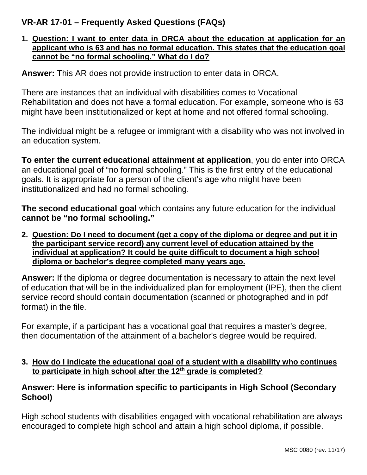# **VR-AR 17-01 – Frequently Asked Questions (FAQs)**

#### **1. Question: I want to enter data in ORCA about the education at application for an applicant who is 63 and has no formal education. This states that the education goal cannot be "no formal schooling." What do I do?**

**Answer:** This AR does not provide instruction to enter data in ORCA.

There are instances that an individual with disabilities comes to Vocational Rehabilitation and does not have a formal education. For example, someone who is 63 might have been institutionalized or kept at home and not offered formal schooling.

The individual might be a refugee or immigrant with a disability who was not involved in an education system.

**To enter the current educational attainment at application**, you do enter into ORCA an educational goal of "no formal schooling." This is the first entry of the educational goals. It is appropriate for a person of the client's age who might have been institutionalized and had no formal schooling.

**The second educational goal** which contains any future education for the individual **cannot be "no formal schooling."**

**2. Question: Do I need to document (get a copy of the diploma or degree and put it in the participant service record) any current level of education attained by the individual at application? It could be quite difficult to document a high school diploma or bachelor's degree completed many years ago.** 

**Answer:** If the diploma or degree documentation is necessary to attain the next level of education that will be in the individualized plan for employment (IPE), then the client service record should contain documentation (scanned or photographed and in pdf format) in the file.

For example, if a participant has a vocational goal that requires a master's degree, then documentation of the attainment of a bachelor's degree would be required.

**3. How do I indicate the educational goal of a student with a disability who continues to participate in high school after the 12th grade is completed?** 

# **Answer: Here is information specific to participants in High School (Secondary School)**

High school students with disabilities engaged with vocational rehabilitation are always encouraged to complete high school and attain a high school diploma, if possible.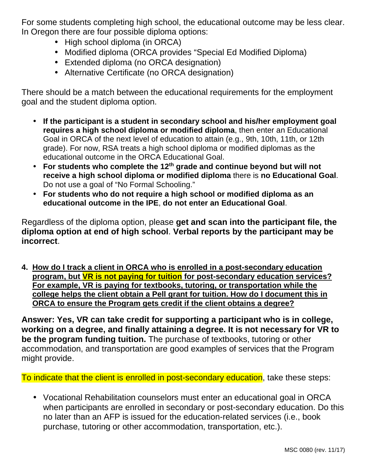For some students completing high school, the educational outcome may be less clear. In Oregon there are four possible diploma options:

- High school diploma (in ORCA)
- Modified diploma (ORCA provides "Special Ed Modified Diploma)
- Extended diploma (no ORCA designation)
- Alternative Certificate (no ORCA designation)

There should be a match between the educational requirements for the employment goal and the student diploma option.

- **If the participant is a student in secondary school and his/her employment goal requires a high school diploma or modified diploma**, then enter an Educational Goal in ORCA of the next level of education to attain (e.g., 9th, 10th, 11th, or 12th grade). For now, RSA treats a high school diploma or modified diplomas as the educational outcome in the ORCA Educational Goal.
- **For students who complete the 12th grade and continue beyond but will not receive a high school diploma or modified diploma** there is **no Educational Goal**. Do not use a goal of "No Formal Schooling."
- **For students who do not require a high school or modified diploma as an educational outcome in the IPE**, **do not enter an Educational Goal**.

Regardless of the diploma option, please **get and scan into the participant file, the diploma option at end of high school**. **Verbal reports by the participant may be incorrect**.

**4. How do I track a client in ORCA who is enrolled in a post-secondary education program, but VR is not paying for tuition for post-secondary education services? For example, VR is paying for textbooks, tutoring, or transportation while the college helps the client obtain a Pell grant for tuition. How do I document this in ORCA to ensure the Program gets credit if the client obtains a degree?** 

**Answer: Yes, VR can take credit for supporting a participant who is in college, working on a degree, and finally attaining a degree. It is not necessary for VR to be the program funding tuition.** The purchase of textbooks, tutoring or other accommodation, and transportation are good examples of services that the Program might provide.

To indicate that the client is enrolled in post-secondary education, take these steps:

• Vocational Rehabilitation counselors must enter an educational goal in ORCA when participants are enrolled in secondary or post-secondary education. Do this no later than an AFP is issued for the education-related services (i.e., book purchase, tutoring or other accommodation, transportation, etc.).